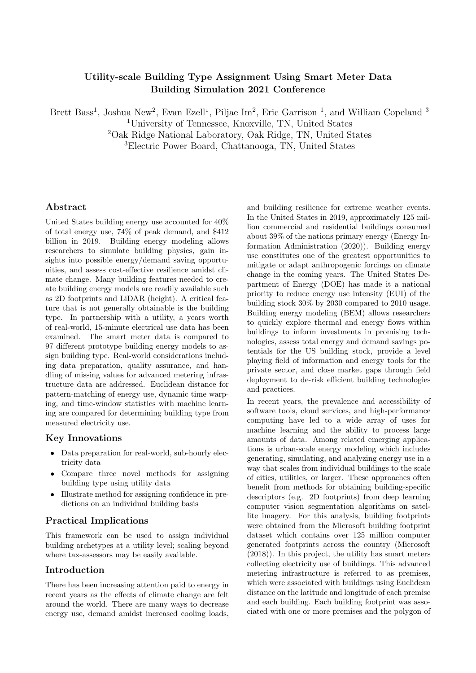# Utility-scale Building Type Assignment Using Smart Meter Data Building Simulation 2021 Conference

Brett Bass<sup>1</sup>, Joshua New<sup>2</sup>, Evan Ezell<sup>1</sup>, Piljae Im<sup>2</sup>, Eric Garrison<sup>1</sup>, and William Copeland<sup>3</sup>

<sup>1</sup>University of Tennessee, Knoxville, TN, United States

<sup>2</sup>Oak Ridge National Laboratory, Oak Ridge, TN, United States

<sup>3</sup>Electric Power Board, Chattanooga, TN, United States

## Abstract

United States building energy use accounted for 40% of total energy use, 74% of peak demand, and \$412 billion in 2019. Building energy modeling allows researchers to simulate building physics, gain insights into possible energy/demand saving opportunities, and assess cost-effective resilience amidst climate change. Many building features needed to create building energy models are readily available such as 2D footprints and LiDAR (height). A critical feature that is not generally obtainable is the building type. In partnership with a utility, a years worth of real-world, 15-minute electrical use data has been examined. The smart meter data is compared to 97 different prototype building energy models to assign building type. Real-world considerations including data preparation, quality assurance, and handling of missing values for advanced metering infrastructure data are addressed. Euclidean distance for pattern-matching of energy use, dynamic time warping, and time-window statistics with machine learning are compared for determining building type from measured electricity use.

### Key Innovations

- Data preparation for real-world, sub-hourly electricity data
- Compare three novel methods for assigning building type using utility data
- Illustrate method for assigning confidence in predictions on an individual building basis

## Practical Implications

This framework can be used to assign individual building archetypes at a utility level; scaling beyond where tax-assessors may be easily available.

### Introduction

There has been increasing attention paid to energy in recent years as the effects of climate change are felt around the world. There are many ways to decrease energy use, demand amidst increased cooling loads,

and building resilience for extreme weather events. In the United States in 2019, approximately 125 million commercial and residential buildings consumed about 39% of the nations primary energy [\(Energy In](#page-9-0)[formation Administration](#page-9-0) [\(2020\)](#page-9-0)). Building energy use constitutes one of the greatest opportunities to mitigate or adapt anthropogenic forcings on climate change in the coming years. The United States Department of Energy (DOE) has made it a national priority to reduce energy use intensity (EUI) of the building stock 30% by 2030 compared to 2010 usage. Building energy modeling (BEM) allows researchers to quickly explore thermal and energy flows within buildings to inform investments in promising technologies, assess total energy and demand savings potentials for the US building stock, provide a level playing field of information and energy tools for the private sector, and close market gaps through field deployment to de-risk efficient building technologies and practices.

In recent years, the prevalence and accessibility of software tools, cloud services, and high-performance computing have led to a wide array of uses for machine learning and the ability to process large amounts of data. Among related emerging applications is urban-scale energy modeling which includes generating, simulating, and analyzing energy use in a way that scales from individual buildings to the scale of cities, utilities, or larger. These approaches often benefit from methods for obtaining building-specific descriptors (e.g. 2D footprints) from deep learning computer vision segmentation algorithms on satellite imagery. For this analysis, building footprints were obtained from the Microsoft building footprint dataset which contains over 125 million computer generated footprints across the country [\(Microsoft](#page-9-1) [\(2018\)](#page-9-1)). In this project, the utility has smart meters collecting electricity use of buildings. This advanced metering infrastructure is referred to as premises, which were associated with buildings using Euclidean distance on the latitude and longitude of each premise and each building. Each building footprint was associated with one or more premises and the polygon of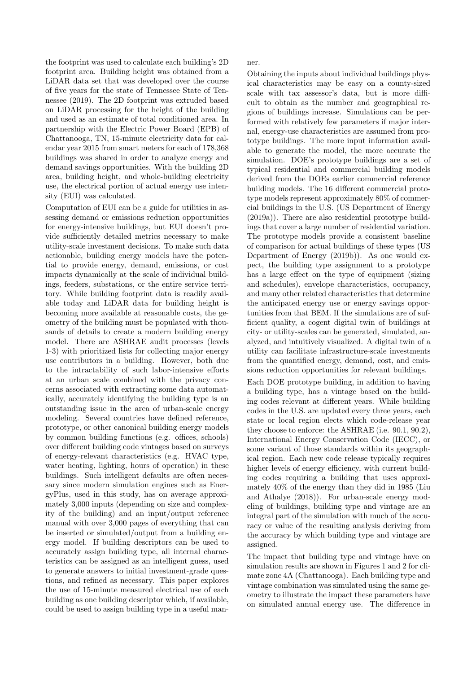the footprint was used to calculate each building's 2D footprint area. Building height was obtained from a LiDAR data set that was developed over the course of five years for the state of Tennessee [State of Ten](#page-9-2)[nessee](#page-9-2) [\(2019\)](#page-9-2). The 2D footprint was extruded based on LiDAR processing for the height of the building and used as an estimate of total conditioned area. In partnership with the Electric Power Board (EPB) of Chattanooga, TN, 15-minute electricity data for calendar year 2015 from smart meters for each of 178,368 buildings was shared in order to analyze energy and demand savings opportunities. With the building 2D area, building height, and whole-building electricity use, the electrical portion of actual energy use intensity (EUI) was calculated.

Computation of EUI can be a guide for utilities in assessing demand or emissions reduction opportunities for energy-intensive buildings, but EUI doesn't provide sufficiently detailed metrics necessary to make utility-scale investment decisions. To make such data actionable, building energy models have the potential to provide energy, demand, emissions, or cost impacts dynamically at the scale of individual buildings, feeders, substations, or the entire service territory. While building footprint data is readily available today and LiDAR data for building height is becoming more available at reasonable costs, the geometry of the building must be populated with thousands of details to create a modern building energy model. There are ASHRAE audit processes (levels 1-3) with prioritized lists for collecting major energy use contributors in a building. However, both due to the intractability of such labor-intensive efforts at an urban scale combined with the privacy concerns associated with extracting some data automatically, accurately identifying the building type is an outstanding issue in the area of urban-scale energy modeling. Several countries have defined reference, prototype, or other canonical building energy models by common building functions (e.g. offices, schools) over different building code vintages based on surveys of energy-relevant characteristics (e.g. HVAC type, water heating, lighting, hours of operation) in these buildings. Such intelligent defaults are often necessary since modern simulation engines such as EnergyPlus, used in this study, has on average approximately 3,000 inputs (depending on size and complexity of the building) and an input/output reference manual with over 3,000 pages of everything that can be inserted or simulated/output from a building energy model. If building descriptors can be used to accurately assign building type, all internal characteristics can be assigned as an intelligent guess, used to generate answers to initial investment-grade questions, and refined as necessary. This paper explores the use of 15-minute measured electrical use of each building as one building descriptor which, if available, could be used to assign building type in a useful manner.

Obtaining the inputs about individual buildings physical characteristics may be easy on a county-sized scale with tax assessor's data, but is more difficult to obtain as the number and geographical regions of buildings increase. Simulations can be performed with relatively few parameters if major internal, energy-use characteristics are assumed from prototype buildings. The more input information available to generate the model, the more accurate the simulation. DOE's prototype buildings are a set of typical residential and commercial building models derived from the DOEs earlier commercial reference building models. The 16 different commercial prototype models represent approximately 80% of commercial buildings in the U.S. [\(US Department of Energy](#page-9-3) [\(2019a\)](#page-9-3)). There are also residential prototype buildings that cover a large number of residential variation. The prototype models provide a consistent baseline of comparison for actual buildings of these types [\(US](#page-9-4) [Department of Energy](#page-9-4) [\(2019b\)](#page-9-4)). As one would expect, the building type assignment to a prototype has a large effect on the type of equipment (sizing and schedules), envelope characteristics, occupancy, and many other related characteristics that determine the anticipated energy use or energy savings opportunities from that BEM. If the simulations are of sufficient quality, a cogent digital twin of buildings at city- or utility-scales can be generated, simulated, analyzed, and intuitively visualized. A digital twin of a utility can facilitate infrastructure-scale investments from the quantified energy, demand, cost, and emissions reduction opportunities for relevant buildings.

Each DOE prototype building, in addition to having a building type, has a vintage based on the building codes relevant at different years. While building codes in the U.S. are updated every three years, each state or local region elects which code-release year they choose to enforce: the ASHRAE (i.e. 90.1, 90.2), International Energy Conservation Code (IECC), or some variant of those standards within its geographical region. Each new code release typically requires higher levels of energy efficiency, with current building codes requiring a building that uses approximately 40% of the energy than they did in 1985 [\(Liu](#page-9-5) [and Athalye](#page-9-5) [\(2018\)](#page-9-5)). For urban-scale energy modeling of buildings, building type and vintage are an integral part of the simulation with much of the accuracy or value of the resulting analysis deriving from the accuracy by which building type and vintage are assigned.

The impact that building type and vintage have on simulation results are shown in Figures [1](#page-3-0) and [2](#page-3-1) for climate zone 4A (Chattanooga). Each building type and vintage combination was simulated using the same geometry to illustrate the impact these parameters have on simulated annual energy use. The difference in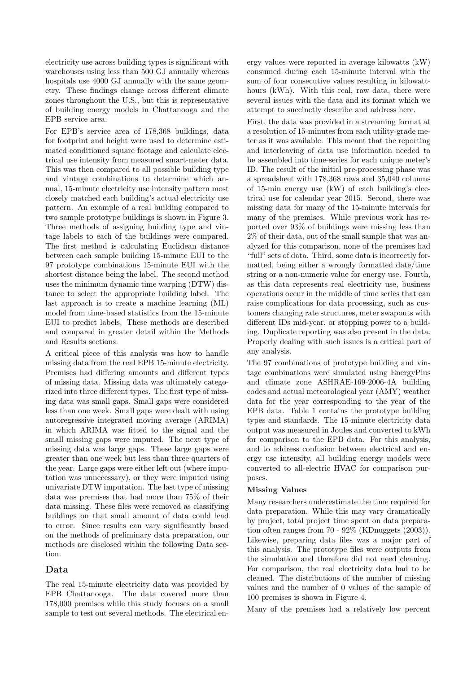electricity use across building types is significant with warehouses using less than 500 GJ annually whereas hospitals use 4000 GJ annually with the same geometry. These findings change across different climate zones throughout the U.S., but this is representative of building energy models in Chattanooga and the EPB service area.

For EPB's service area of 178,368 buildings, data for footprint and height were used to determine estimated conditioned square footage and calculate electrical use intensity from measured smart-meter data. This was then compared to all possible building type and vintage combinations to determine which annual, 15-minute electricity use intensity pattern most closely matched each building's actual electricity use pattern. An example of a real building compared to two sample prototype buildings is shown in Figure [3.](#page-4-0) Three methods of assigning building type and vintage labels to each of the buildings were compared. The first method is calculating Euclidean distance between each sample building 15-minute EUI to the 97 prototype combinations 15-minute EUI with the shortest distance being the label. The second method uses the minimum dynamic time warping (DTW) distance to select the appropriate building label. The last approach is to create a machine learning (ML) model from time-based statistics from the 15-minute EUI to predict labels. These methods are described and compared in greater detail within the Methods and Results sections.

A critical piece of this analysis was how to handle missing data from the real EPB 15-minute electricity. Premises had differing amounts and different types of missing data. Missing data was ultimately categorized into three different types. The first type of missing data was small gaps. Small gaps were considered less than one week. Small gaps were dealt with using autoregressive integrated moving average (ARIMA) in which ARIMA was fitted to the signal and the small missing gaps were imputed. The next type of missing data was large gaps. These large gaps were greater than one week but less than three quarters of the year. Large gaps were either left out (where imputation was unnecessary), or they were imputed using univariate DTW imputation. The last type of missing data was premises that had more than 75% of their data missing. These files were removed as classifying buildings on that small amount of data could lead to error. Since results can vary significantly based on the methods of preliminary data preparation, our methods are disclosed within the following Data section.

## Data

The real 15-minute electricity data was provided by EPB Chattanooga. The data covered more than 178,000 premises while this study focuses on a small sample to test out several methods. The electrical energy values were reported in average kilowatts (kW) consumed during each 15-minute interval with the sum of four consecutive values resulting in kilowatthours (kWh). With this real, raw data, there were several issues with the data and its format which we attempt to succinctly describe and address here.

First, the data was provided in a streaming format at a resolution of 15-minutes from each utility-grade meter as it was available. This meant that the reporting and interleaving of data use information needed to be assembled into time-series for each unique meter's ID. The result of the initial pre-processing phase was a spreadsheet with 178,368 rows and 35,040 columns of 15-min energy use (kW) of each building's electrical use for calendar year 2015. Second, there was missing data for many of the 15-minute intervals for many of the premises. While previous work has reported over 93% of buildings were missing less than 2% of their data, out of the small sample that was analyzed for this comparison, none of the premises had "full" sets of data. Third, some data is incorrectly formatted, being either a wrongly formatted date/time string or a non-numeric value for energy use. Fourth, as this data represents real electricity use, business operations occur in the middle of time series that can raise complications for data processing, such as customers changing rate structures, meter swapouts with different IDs mid-year, or stopping power to a building. Duplicate reporting was also present in the data. Properly dealing with such issues is a critical part of any analysis.

The 97 combinations of prototype building and vintage combinations were simulated using EnergyPlus and climate zone ASHRAE-169-2006-4A building codes and actual meteorological year (AMY) weather data for the year corresponding to the year of the EPB data. Table [1](#page-3-2) contains the prototype building types and standards. The 15-minute electricity data output was measured in Joules and converted to kWh for comparison to the EPB data. For this analysis, and to address confusion between electrical and energy use intensity, all building energy models were converted to all-electric HVAC for comparison purposes.

### Missing Values

Many researchers underestimate the time required for data preparation. While this may vary dramatically by project, total project time spent on data preparation often ranges from 70 - 92% [\(KDnuggets](#page-9-6) [\(2003\)](#page-9-6)). Likewise, preparing data files was a major part of this analysis. The prototype files were outputs from the simulation and therefore did not need cleaning. For comparison, the real electricity data had to be cleaned. The distributions of the number of missing values and the number of 0 values of the sample of 100 premises is shown in Figure [4.](#page-5-0)

Many of the premises had a relatively low percent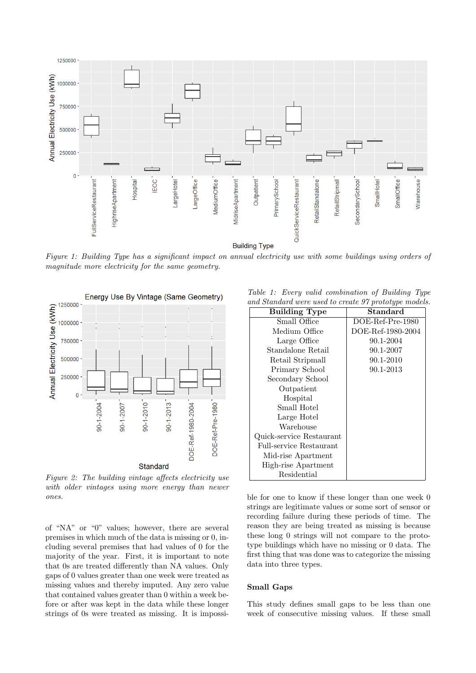<span id="page-3-0"></span>

Figure 1: Building Type has a significant impact on annual electricity use with some buildings using orders of magnitude more electricity for the same geometry.

<span id="page-3-1"></span>

Figure 2: The building vintage affects electricity use with older vintages using more energy than newer ones.

of "NA" or "0" values; however, there are several premises in which much of the data is missing or 0, including several premises that had values of 0 for the majority of the year. First, it is important to note that 0s are treated differently than NA values. Only gaps of 0 values greater than one week were treated as missing values and thereby imputed. Any zero value that contained values greater than 0 within a week before or after was kept in the data while these longer strings of 0s were treated as missing. It is impossi-

<span id="page-3-2"></span>Table 1: Every valid combination of Building Type and Standard were used to create 97 prototype models.

| ны энтийн шого изси го стало эт ргогогдро тошыг |                   |
|-------------------------------------------------|-------------------|
| <b>Building Type</b>                            | Standard          |
| Small Office                                    | DOE-Ref-Pre-1980  |
| Medium Office                                   | DOE-Ref-1980-2004 |
| Large Office                                    | 90.1-2004         |
| Standalone Retail                               | 90.1-2007         |
| Retail Stripmall                                | 90.1-2010         |
| Primary School                                  | 90.1-2013         |
| Secondary School                                |                   |
| Outpatient                                      |                   |
| Hospital                                        |                   |
| Small Hotel                                     |                   |
| Large Hotel                                     |                   |
| Warehouse                                       |                   |
| Quick-service Restaurant                        |                   |
| <b>Full-service Restaurant</b>                  |                   |
| Mid-rise Apartment                              |                   |
| High-rise Apartment                             |                   |
| Residential                                     |                   |

ble for one to know if these longer than one week 0 strings are legitimate values or some sort of sensor or recording failure during these periods of time. The reason they are being treated as missing is because these long 0 strings will not compare to the prototype buildings which have no missing or 0 data. The first thing that was done was to categorize the missing data into three types.

#### Small Gaps

This study defines small gaps to be less than one week of consecutive missing values. If these small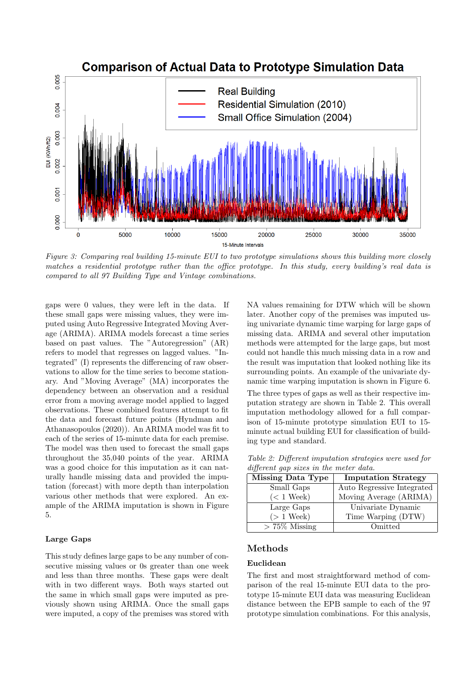<span id="page-4-0"></span>

Figure 3: Comparing real building 15-minute EUI to two prototype simulations shows this building more closely matches a residential prototype rather than the office prototype. In this study, every building's real data is compared to all 97 Building Type and Vintage combinations.

gaps were 0 values, they were left in the data. If these small gaps were missing values, they were imputed using Auto Regressive Integrated Moving Average (ARIMA). ARIMA models forecast a time series based on past values. The "Autoregression" (AR) refers to model that regresses on lagged values. "Integrated" (I) represents the differencing of raw observations to allow for the time series to become stationary. And "Moving Average" (MA) incorporates the dependency between an observation and a residual error from a moving average model applied to lagged observations. These combined features attempt to fit the data and forecast future points [\(Hyndman and](#page-9-7) [Athanasopoulos](#page-9-7) [\(2020\)](#page-9-7)). An ARIMA model was fit to each of the series of 15-minute data for each premise. The model was then used to forecast the small gaps throughout the 35,040 points of the year. ARIMA was a good choice for this imputation as it can naturally handle missing data and provided the imputation (forecast) with more depth than interpolation various other methods that were explored. An example of the ARIMA imputation is shown in Figure [5.](#page-5-1)

### Large Gaps

This study defines large gaps to be any number of consecutive missing values or 0s greater than one week and less than three months. These gaps were dealt with in two different ways. Both ways started out the same in which small gaps were imputed as previously shown using ARIMA. Once the small gaps were imputed, a copy of the premises was stored with NA values remaining for DTW which will be shown later. Another copy of the premises was imputed using univariate dynamic time warping for large gaps of missing data. ARIMA and several other imputation methods were attempted for the large gaps, but most could not handle this much missing data in a row and the result was imputation that looked nothing like its surrounding points. An example of the univariate dynamic time warping imputation is shown in Figure [6.](#page-5-2)

The three types of gaps as well as their respective imputation strategy are shown in Table [2.](#page-4-1) This overall imputation methodology allowed for a full comparison of 15-minute prototype simulation EUI to 15 minute actual building EUI for classification of building type and standard.

<span id="page-4-1"></span>Table 2: Different imputation strategies were used for different gap sizes in the meter data.

| <b>Missing Data Type</b> | <b>Imputation Strategy</b> |
|--------------------------|----------------------------|
| Small Gaps               | Auto Regressive Integrated |
| $(< 1$ Week)             | Moving Average (ARIMA)     |
| Large Gaps               | Univariate Dynamic         |
| $(> 1$ Week)             | Time Warping (DTW)         |
| $> 75\%$ Missing         | Omitted                    |

## Methods

### Euclidean

The first and most straightforward method of comparison of the real 15-minute EUI data to the prototype 15-minute EUI data was measuring Euclidean distance between the EPB sample to each of the 97 prototype simulation combinations. For this analysis,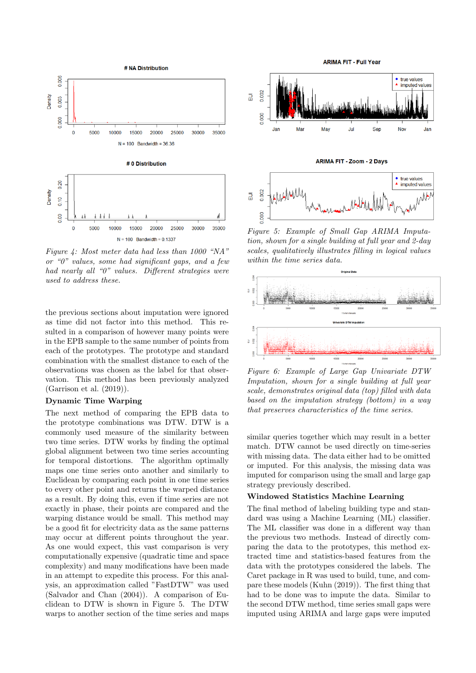<span id="page-5-0"></span>

Figure 4: Most meter data had less than 1000 "NA" or " $0$ " values, some had significant gaps, and a few had nearly all "0" values. Different strategies were used to address these.

the previous sections about imputation were ignored as time did not factor into this method. This resulted in a comparison of however many points were in the EPB sample to the same number of points from each of the prototypes. The prototype and standard combination with the smallest distance to each of the observations was chosen as the label for that observation. This method has been previously analyzed [\(Garrison et al.](#page-9-8) [\(2019\)](#page-9-8)).

#### Dynamic Time Warping

The next method of comparing the EPB data to the prototype combinations was DTW. DTW is a commonly used measure of the similarity between two time series. DTW works by finding the optimal global alignment between two time series accounting for temporal distortions. The algorithm optimally maps one time series onto another and similarly to Euclidean by comparing each point in one time series to every other point and returns the warped distance as a result. By doing this, even if time series are not exactly in phase, their points are compared and the warping distance would be small. This method may be a good fit for electricity data as the same patterns may occur at different points throughout the year. As one would expect, this vast comparison is very computationally expensive (quadratic time and space complexity) and many modifications have been made in an attempt to expedite this process. For this analysis, an approximation called "FastDTW" was used [\(Salvador and Chan](#page-9-9) [\(2004\)](#page-9-9)). A comparison of Euclidean to DTW is shown in Figure 5. The DTW warps to another section of the time series and maps

<span id="page-5-1"></span>**ADIMA FIT, Full Year** true values true values<br>imputed values  $\overline{a}$  $002$ 1,000 Sep Jan Mai May Jul Nov Jan **ARIMA FIT - Zoom - 2 Days** ● true values<br>▲ imputed values  $002$ A/VA  $\overline{a}$  $600$ 

Figure 5: Example of Small Gap ARIMA Imputation, shown for a single building at full year and  $2$ -day scales, qualitatively illustrates filling in logical values within the time series data.

<span id="page-5-2"></span>

Figure 6: Example of Large Gap Univariate DTW Imputation, shown for a single building at full year scale, demonstrates original data (top) filled with data based on the imputation strategy (bottom) in a way that preserves characteristics of the time series.

similar queries together which may result in a better match. DTW cannot be used directly on time-series with missing data. The data either had to be omitted or imputed. For this analysis, the missing data was imputed for comparison using the small and large gap strategy previously described.

#### Windowed Statistics Machine Learning

The final method of labeling building type and standard was using a Machine Learning (ML) classifier. The ML classifier was done in a different way than the previous two methods. Instead of directly comparing the data to the prototypes, this method extracted time and statistics-based features from the data with the prototypes considered the labels. The Caret package in R was used to build, tune, and compare these models [\(Kuhn](#page-9-10) [\(2019\)](#page-9-10)). The first thing that had to be done was to impute the data. Similar to the second DTW method, time series small gaps were imputed using ARIMA and large gaps were imputed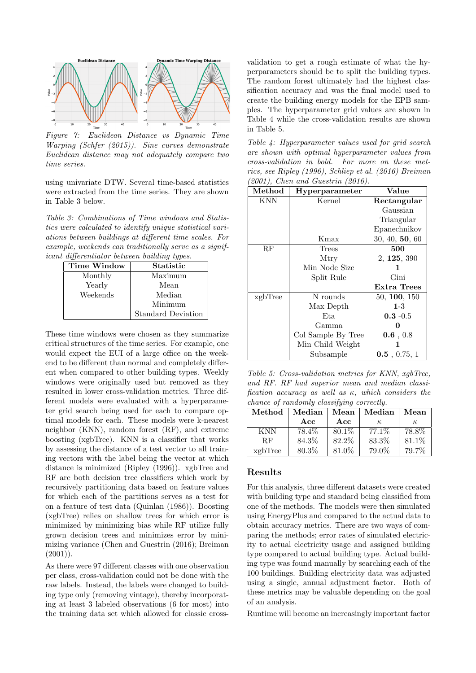

Figure 7: Euclidean Distance vs Dynamic Time Warping [\(Schfer](#page-9-11) [\(2015\)](#page-9-11)). Sine curves demonstrate Euclidean distance may not adequately compare two time series.

using univariate DTW. Several time-based statistics were extracted from the time series. They are shown in Table 3 below.

Table 3: Combinations of Time windows and Statistics were calculated to identify unique statistical variations between buildings at different time scales. For example, weekends can traditionally serve as a significant differentiator between building types.

| $\overline{\phantom{a}}$ |                    |
|--------------------------|--------------------|
| Time Window              | Statistic          |
| Monthly                  | Maximum            |
| Yearly                   | Mean               |
| Weekends                 | Median             |
|                          | Minimum            |
|                          | Standard Deviation |

These time windows were chosen as they summarize critical structures of the time series. For example, one would expect the EUI of a large office on the weekend to be different than normal and completely different when compared to other building types. Weekly windows were originally used but removed as they resulted in lower cross-validation metrics. Three different models were evaluated with a hyperparameter grid search being used for each to compare optimal models for each. These models were k-nearest neighbor (KNN), random forest (RF), and extreme boosting (xgbTree). KNN is a classifier that works by assessing the distance of a test vector to all training vectors with the label being the vector at which distance is minimized [\(Ripley](#page-9-12) [\(1996\)](#page-9-12)). xgbTree and RF are both decision tree classifiers which work by recursively partitioning data based on feature values for which each of the partitions serves as a test for on a feature of test data [\(Quinlan](#page-9-13) [\(1986\)](#page-9-13)). Boosting (xgbTree) relies on shallow trees for which error is minimized by minimizing bias while RF utilize fully grown decision trees and minimizes error by minimizing variance [\(Chen and Guestrin](#page-9-14) [\(2016\)](#page-9-14); [Breiman](#page-9-15)  $(2001)$ ).

As there were 97 different classes with one observation per class, cross-validation could not be done with the raw labels. Instead, the labels were changed to building type only (removing vintage), thereby incorporating at least 3 labeled observations (6 for most) into the training data set which allowed for classic cross-

validation to get a rough estimate of what the hyperparameters should be to split the building types. The random forest ultimately had the highest classification accuracy and was the final model used to create the building energy models for the EPB samples. The hyperparameter grid values are shown in Table [4](#page-6-0) while the cross-validation results are shown in Table [5.](#page-6-1)

<span id="page-6-0"></span>Table 4: Hyperparameter values used for grid search are shown with optimal hyperparameter values from cross-validation in bold. For more on these metrics, see [Ripley](#page-9-12) [\(1996\)](#page-9-12), [Schliep et al.](#page-9-16) [\(2016\)](#page-9-16) [Breiman](#page-9-15) [\(2001\)](#page-9-15), [Chen and Guestrin](#page-9-14) [\(2016\)](#page-9-14).

| Method  | Hyperparameter     | Value           |  |
|---------|--------------------|-----------------|--|
| KNN     | Kernel             | Rectangular     |  |
|         |                    | Gaussian        |  |
|         |                    | Triangular      |  |
|         |                    | Epanechnikov    |  |
|         | Kmax               | 30, 40, 50, 60  |  |
| RF      | Trees              | 500             |  |
|         | Mtry               | 2, 125, 390     |  |
|         | Min Node Size      | 1               |  |
|         | Split Rule         | Gini            |  |
|         |                    | Extra Trees     |  |
| xgbTree | N rounds           | 50, 100, 150    |  |
|         | Max Depth          | $1-3$           |  |
|         | Eta                | $0.3 - 0.5$     |  |
|         | Gamma              |                 |  |
|         | Col Sample By Tree | 0.6, 0.8        |  |
|         | Min Child Weight   |                 |  |
|         | Subsample          | $0.5$ , 0.75, 1 |  |

<span id="page-6-1"></span>Table 5: Cross-validation metrics for KNN, xgbTree, and RF. RF had superior mean and median classification accuracy as well as  $\kappa$ , which considers the chance of randomly classifying correctly.

| Method     | Median | $\operatorname{Mean}$ | Median | Mean  |
|------------|--------|-----------------------|--------|-------|
|            | Acc    | Acc                   | к.     | к.    |
| <b>KNN</b> | 78.4%  | 80.1\%                | 77.1\% | 78.8% |
| RF         | 84.3%  | 82.2%                 | 83.3%  | 81.1% |
| xgbTree    | 80.3%  | 81.0%                 | 79.0%  | 79.7% |

## Results

For this analysis, three different datasets were created with building type and standard being classified from one of the methods. The models were then simulated using EnergyPlus and compared to the actual data to obtain accuracy metrics. There are two ways of comparing the methods; error rates of simulated electricity to actual electricity usage and assigned building type compared to actual building type. Actual building type was found manually by searching each of the 100 buildings. Building electricity data was adjusted using a single, annual adjustment factor. Both of these metrics may be valuable depending on the goal of an analysis.

Runtime will become an increasingly important factor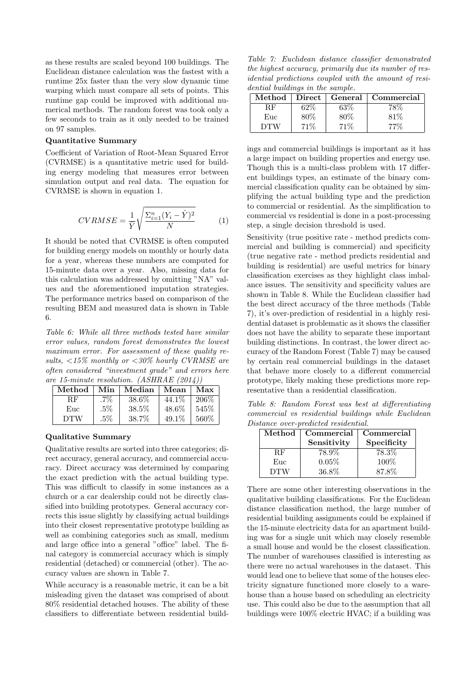as these results are scaled beyond 100 buildings. The Euclidean distance calculation was the fastest with a runtime 25x faster than the very slow dynamic time warping which must compare all sets of points. This runtime gap could be improved with additional numerical methods. The random forest was took only a few seconds to train as it only needed to be trained on 97 samples.

#### Quantitative Summary

Coefficient of Variation of Root-Mean Squared Error (CVRMSE) is a quantitative metric used for building energy modeling that measures error between simulation output and real data. The equation for CVRMSE is shown in equation [1.](#page-7-0)

<span id="page-7-0"></span>
$$
CVRMSE = \frac{1}{\bar{Y}} \sqrt{\frac{\Sigma_{i=1}^{n} (Y_i - \hat{Y})^2}{N}}
$$
(1)

It should be noted that CVRMSE is often computed for building energy models on monthly or hourly data for a year, whereas these numbers are computed for 15-minute data over a year. Also, missing data for this calculation was addressed by omitting "NA" values and the aforementioned imputation strategies. The performance metrics based on comparison of the resulting BEM and measured data is shown in Table [6.](#page-7-1)

<span id="page-7-1"></span>Table 6: While all three methods tested have similar error values, random forest demonstrates the lowest maximum error. For assessment of these quality results,  $\langle 15\%$  monthly or  $\langle 30\%$  hourly CVRMSE are often considered "investment grade" and errors here are 15-minute resolution. [\(ASHRAE](#page-9-17) [\(2014\)](#page-9-17))

| Method     | Min    | Median | Mean     | Max   |
|------------|--------|--------|----------|-------|
| ВF         | .7%    | 38.6%  | 44.1\%   | 206\% |
| Euc        | $.5\%$ | 38.5%  | $48.6\%$ | 545%  |
| <b>DTW</b> | $.5\%$ | 38.7%  | 49.1%    | 560%  |

#### Qualitative Summary

Qualitative results are sorted into three categories; direct accuracy, general accuracy, and commercial accuracy. Direct accuracy was determined by comparing the exact prediction with the actual building type. This was difficult to classify in some instances as a church or a car dealership could not be directly classified into building prototypes. General accuracy corrects this issue slightly by classifying actual buildings into their closest representative prototype building as well as combining categories such as small, medium and large office into a general "office" label. The final category is commercial accuracy which is simply residential (detached) or commercial (other). The accuracy values are shown in Table [7.](#page-7-2)

While accuracy is a reasonable metric, it can be a bit misleading given the dataset was comprised of about 80% residential detached houses. The ability of these classifiers to differentiate between residential build-

<span id="page-7-2"></span>Table 7: Euclidean distance classifier demonstrated the highest accuracy, primarily due its number of residential predictions coupled with the amount of residential buildings in the sample.

| Method | $\bold{Direct}$ |        | General   Commercial |
|--------|-----------------|--------|----------------------|
| 3.F.   | 62%             | 63%    |                      |
| Euc    | $80\%$          | $80\%$ | 81%                  |
| D'FW   | 71 V            |        |                      |

ings and commercial buildings is important as it has a large impact on building properties and energy use. Though this is a multi-class problem with 17 different buildings types, an estimate of the binary commercial classification quality can be obtained by simplifying the actual building type and the prediction to commercial or residential. As the simplification to commercial vs residential is done in a post-processing step, a single decision threshold is used.

Sensitivity (true positive rate - method predicts commercial and building is commercial) and specificity (true negative rate - method predicts residential and building is residential) are useful metrics for binary classification exercises as they highlight class imbalance issues. The sensitivity and specificity values are shown in Table [8.](#page-7-3) While the Euclidean classifier had the best direct accuracy of the three methods (Table [7\)](#page-7-2), it's over-prediction of residential in a highly residential dataset is problematic as it shows the classifier does not have the ability to separate these important building distinctions. In contrast, the lower direct accuracy of the Random Forest (Table [7\)](#page-7-2) may be caused by certain real commercial buildings in the dataset that behave more closely to a different commercial prototype, likely making these predictions more representative than a residential classification.

<span id="page-7-3"></span>Table 8: Random Forest was best at differentiating commercial vs residential buildings while Euclidean Distance over-predicted residential.

| Method     | Commercial<br>Sensitivity | Commercial<br>Specificity |
|------------|---------------------------|---------------------------|
| ВF         | 78.9%                     | 78.3%                     |
| Euc        | 0.05%                     | 100%                      |
| <b>DTW</b> | 36.8%                     | 87.8%                     |

There are some other interesting observations in the qualitative building classifications. For the Euclidean distance classification method, the large number of residential building assignments could be explained if the 15-minute electricity data for an apartment building was for a single unit which may closely resemble a small house and would be the closest classification. The number of warehouses classified is interesting as there were no actual warehouses in the dataset. This would lead one to believe that some of the houses electricity signature functioned more closely to a warehouse than a house based on scheduling an electricity use. This could also be due to the assumption that all buildings were 100% electric HVAC; if a building was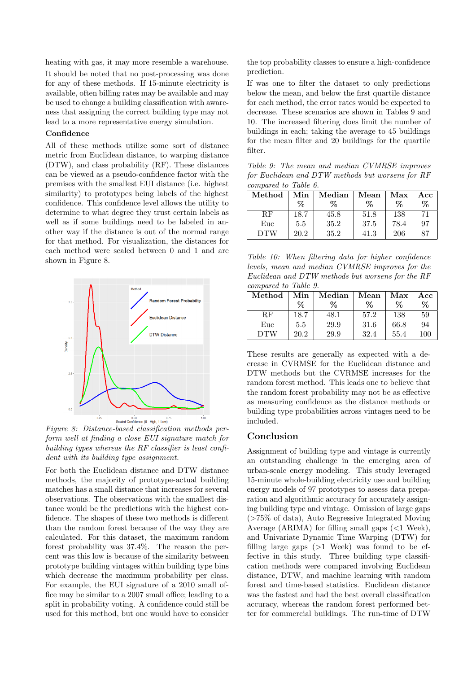heating with gas, it may more resemble a warehouse.

It should be noted that no post-processing was done for any of these methods. If 15-minute electricity is available, often billing rates may be available and may be used to change a building classification with awareness that assigning the correct building type may not lead to a more representative energy simulation.

#### Confidence

All of these methods utilize some sort of distance metric from Euclidean distance, to warping distance (DTW), and class probability (RF). These distances can be viewed as a pseudo-confidence factor with the premises with the smallest EUI distance (i.e. highest similarity) to prototypes being labels of the highest confidence. This confidence level allows the utility to determine to what degree they trust certain labels as well as if some buildings need to be labeled in another way if the distance is out of the normal range for that method. For visualization, the distances for each method were scaled between 0 and 1 and are shown in Figure [8.](#page-8-0)

<span id="page-8-0"></span>

Figure 8: Distance-based classification methods perform well at finding a close EUI signature match for building types whereas the RF classifier is least confident with its building type assignment.

For both the Euclidean distance and DTW distance methods, the majority of prototype-actual building matches has a small distance that increases for several observations. The observations with the smallest distance would be the predictions with the highest confidence. The shapes of these two methods is different than the random forest because of the way they are calculated. For this dataset, the maximum random forest probability was 37.4%. The reason the percent was this low is because of the similarity between prototype building vintages within building type bins which decrease the maximum probability per class. For example, the EUI signature of a 2010 small office may be similar to a 2007 small office; leading to a split in probability voting. A confidence could still be used for this method, but one would have to consider

the top probability classes to ensure a high-confidence prediction.

If was one to filter the dataset to only predictions below the mean, and below the first quartile distance for each method, the error rates would be expected to decrease. These scenarios are shown in Tables [9](#page-8-1) and [10.](#page-8-2) The increased filtering does limit the number of buildings in each; taking the average to 45 buildings for the mean filter and 20 buildings for the quartile filter.

<span id="page-8-1"></span>Table 9: The mean and median CVMRSE improves for Euclidean and DTW methods but worsens for RF compared to Table [6.](#page-7-1)

| Method     | Min  | Median | Mean | Max  | Acc  |
|------------|------|--------|------|------|------|
|            | ℅    | ℅      | $\%$ | ℅    | $\%$ |
| RF         | 18.7 | 45.8   | 51.8 | 138  | 71   |
| Euc        | 5.5  | 35.2   | 37.5 | 78.4 | 97   |
| <b>DTW</b> | 20.2 | 35.2   | 41.3 | 206  | 87   |

<span id="page-8-2"></span>Table 10: When filtering data for higher confidence levels, mean and median CVMRSE improves for the Euclidean and DTW methods but worsens for the RF compared to Table [9.](#page-8-1)

| $\operatorname{Method}$ | Min<br>% | Median<br>℅ | Mean<br>℅ | ${\rm Max}$<br>℅ | Acc<br>% |
|-------------------------|----------|-------------|-----------|------------------|----------|
| RF                      | 18.7     | 48.1        | 57.2      | 138              | 59       |
| Euc                     | 5.5      | 29.9        | 31.6      | 66.8             | 94       |
| <b>DTW</b>              | 20.2     | 29.9        | 32.4      | 55.4             | 100      |

These results are generally as expected with a decrease in CVRMSE for the Euclidean distance and DTW methods but the CVRMSE increases for the random forest method. This leads one to believe that the random forest probability may not be as effective as measuring confidence as the distance methods or building type probabilities across vintages need to be included.

### Conclusion

Assignment of building type and vintage is currently an outstanding challenge in the emerging area of urban-scale energy modeling. This study leveraged 15-minute whole-building electricity use and building energy models of 97 prototypes to assess data preparation and algorithmic accuracy for accurately assigning building type and vintage. Omission of large gaps (>75% of data), Auto Regressive Integrated Moving Average (ARIMA) for filling small gaps  $(<1$  Week), and Univariate Dynamic Time Warping (DTW) for filling large gaps  $(>1$  Week) was found to be effective in this study. Three building type classification methods were compared involving Euclidean distance, DTW, and machine learning with random forest and time-based statistics. Euclidean distance was the fastest and had the best overall classification accuracy, whereas the random forest performed better for commercial buildings. The run-time of DTW